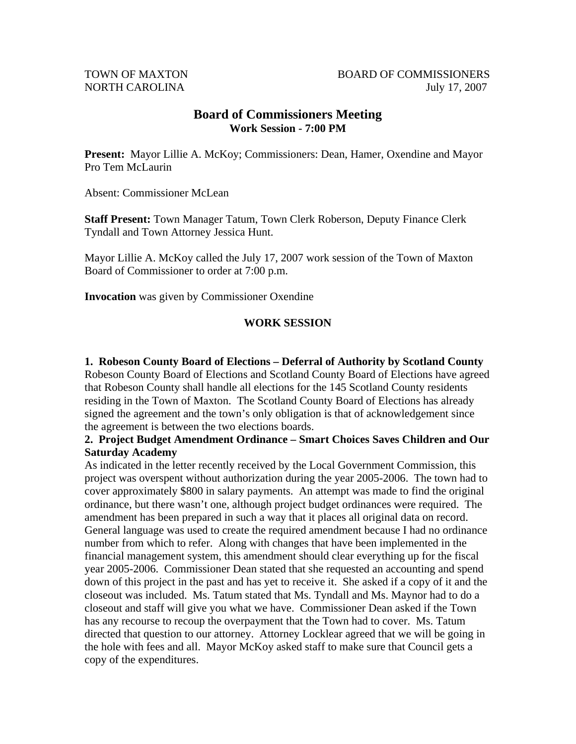## **Board of Commissioners Meeting Work Session - 7:00 PM**

Present: Mayor Lillie A. McKoy; Commissioners: Dean, Hamer, Oxendine and Mayor Pro Tem McLaurin

Absent: Commissioner McLean

**Staff Present:** Town Manager Tatum, Town Clerk Roberson, Deputy Finance Clerk Tyndall and Town Attorney Jessica Hunt.

Mayor Lillie A. McKoy called the July 17, 2007 work session of the Town of Maxton Board of Commissioner to order at 7:00 p.m.

**Invocation** was given by Commissioner Oxendine

## **WORK SESSION**

**1. Robeson County Board of Elections – Deferral of Authority by Scotland County**  Robeson County Board of Elections and Scotland County Board of Elections have agreed that Robeson County shall handle all elections for the 145 Scotland County residents residing in the Town of Maxton. The Scotland County Board of Elections has already signed the agreement and the town's only obligation is that of acknowledgement since the agreement is between the two elections boards.

#### **2. Project Budget Amendment Ordinance – Smart Choices Saves Children and Our Saturday Academy**

As indicated in the letter recently received by the Local Government Commission, this project was overspent without authorization during the year 2005-2006. The town had to cover approximately \$800 in salary payments. An attempt was made to find the original ordinance, but there wasn't one, although project budget ordinances were required. The amendment has been prepared in such a way that it places all original data on record. General language was used to create the required amendment because I had no ordinance number from which to refer. Along with changes that have been implemented in the financial management system, this amendment should clear everything up for the fiscal year 2005-2006. Commissioner Dean stated that she requested an accounting and spend down of this project in the past and has yet to receive it. She asked if a copy of it and the closeout was included. Ms. Tatum stated that Ms. Tyndall and Ms. Maynor had to do a closeout and staff will give you what we have. Commissioner Dean asked if the Town has any recourse to recoup the overpayment that the Town had to cover. Ms. Tatum directed that question to our attorney. Attorney Locklear agreed that we will be going in the hole with fees and all. Mayor McKoy asked staff to make sure that Council gets a copy of the expenditures.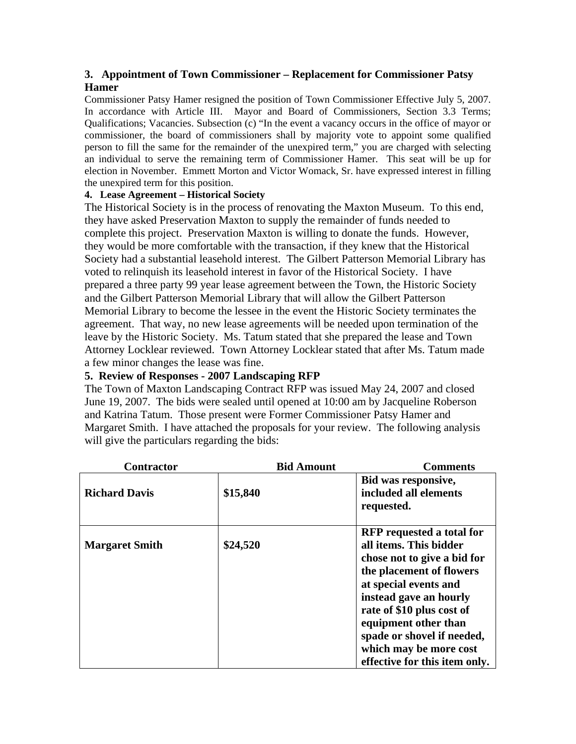## **3. Appointment of Town Commissioner – Replacement for Commissioner Patsy Hamer**

Commissioner Patsy Hamer resigned the position of Town Commissioner Effective July 5, 2007. In accordance with Article III. Mayor and Board of Commissioners, Section 3.3 Terms; Qualifications; Vacancies. Subsection (c) "In the event a vacancy occurs in the office of mayor or commissioner, the board of commissioners shall by majority vote to appoint some qualified person to fill the same for the remainder of the unexpired term," you are charged with selecting an individual to serve the remaining term of Commissioner Hamer. This seat will be up for election in November. Emmett Morton and Victor Womack, Sr. have expressed interest in filling the unexpired term for this position.

#### **4. Lease Agreement – Historical Society**

The Historical Society is in the process of renovating the Maxton Museum. To this end, they have asked Preservation Maxton to supply the remainder of funds needed to complete this project. Preservation Maxton is willing to donate the funds. However, they would be more comfortable with the transaction, if they knew that the Historical Society had a substantial leasehold interest. The Gilbert Patterson Memorial Library has voted to relinquish its leasehold interest in favor of the Historical Society. I have prepared a three party 99 year lease agreement between the Town, the Historic Society and the Gilbert Patterson Memorial Library that will allow the Gilbert Patterson Memorial Library to become the lessee in the event the Historic Society terminates the agreement. That way, no new lease agreements will be needed upon termination of the leave by the Historic Society. Ms. Tatum stated that she prepared the lease and Town Attorney Locklear reviewed. Town Attorney Locklear stated that after Ms. Tatum made a few minor changes the lease was fine.

## **5. Review of Responses - 2007 Landscaping RFP**

The Town of Maxton Landscaping Contract RFP was issued May 24, 2007 and closed June 19, 2007. The bids were sealed until opened at 10:00 am by Jacqueline Roberson and Katrina Tatum. Those present were Former Commissioner Patsy Hamer and Margaret Smith. I have attached the proposals for your review. The following analysis will give the particulars regarding the bids:

| <b>Contractor</b>     | <b>Bid Amount</b> | <b>Comments</b>                                                                                                                                                                                                                                                                                                        |
|-----------------------|-------------------|------------------------------------------------------------------------------------------------------------------------------------------------------------------------------------------------------------------------------------------------------------------------------------------------------------------------|
| <b>Richard Davis</b>  | \$15,840          | Bid was responsive,<br>included all elements<br>requested.                                                                                                                                                                                                                                                             |
| <b>Margaret Smith</b> | \$24,520          | <b>RFP</b> requested a total for<br>all items. This bidder<br>chose not to give a bid for<br>the placement of flowers<br>at special events and<br>instead gave an hourly<br>rate of \$10 plus cost of<br>equipment other than<br>spade or shovel if needed,<br>which may be more cost<br>effective for this item only. |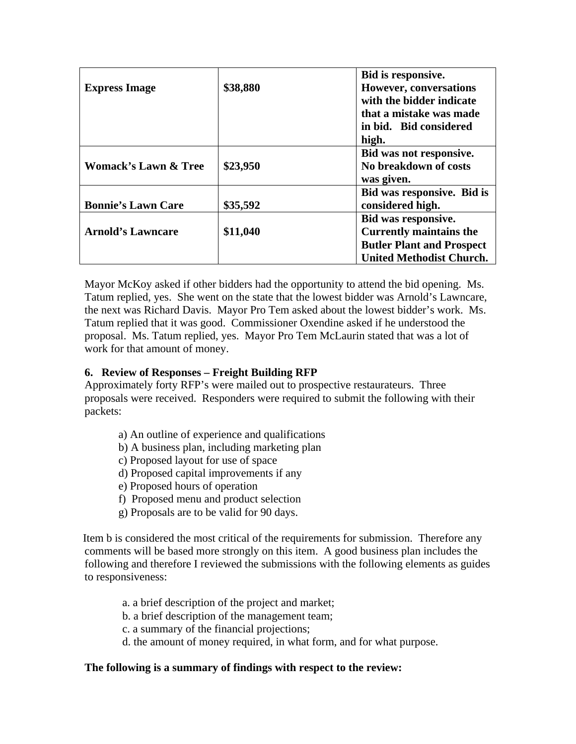|                           |          | Bid is responsive.               |
|---------------------------|----------|----------------------------------|
| <b>Express Image</b>      | \$38,880 | <b>However, conversations</b>    |
|                           |          | with the bidder indicate         |
|                           |          | that a mistake was made          |
|                           |          | in bid. Bid considered           |
|                           |          | high.                            |
|                           |          | Bid was not responsive.          |
| Womack's Lawn & Tree      | \$23,950 | No breakdown of costs            |
|                           |          | was given.                       |
|                           |          | Bid was responsive. Bid is       |
| <b>Bonnie's Lawn Care</b> | \$35,592 | considered high.                 |
|                           |          | Bid was responsive.              |
| <b>Arnold's Lawncare</b>  | \$11,040 | <b>Currently maintains the</b>   |
|                           |          | <b>Butler Plant and Prospect</b> |
|                           |          | <b>United Methodist Church.</b>  |

Mayor McKoy asked if other bidders had the opportunity to attend the bid opening. Ms. Tatum replied, yes. She went on the state that the lowest bidder was Arnold's Lawncare, the next was Richard Davis. Mayor Pro Tem asked about the lowest bidder's work. Ms. Tatum replied that it was good. Commissioner Oxendine asked if he understood the proposal. Ms. Tatum replied, yes. Mayor Pro Tem McLaurin stated that was a lot of work for that amount of money.

#### **6. Review of Responses – Freight Building RFP**

Approximately forty RFP's were mailed out to prospective restaurateurs. Three proposals were received. Responders were required to submit the following with their packets:

- a) An outline of experience and qualifications
- b) A business plan, including marketing plan
- c) Proposed layout for use of space
- d) Proposed capital improvements if any
- e) Proposed hours of operation
- f) Proposed menu and product selection
- g) Proposals are to be valid for 90 days.

Item b is considered the most critical of the requirements for submission. Therefore any comments will be based more strongly on this item. A good business plan includes the following and therefore I reviewed the submissions with the following elements as guides to responsiveness:

- a. a brief description of the project and market;
- b. a brief description of the management team;
- c. a summary of the financial projections;
- d. the amount of money required, in what form, and for what purpose.

#### **The following is a summary of findings with respect to the review:**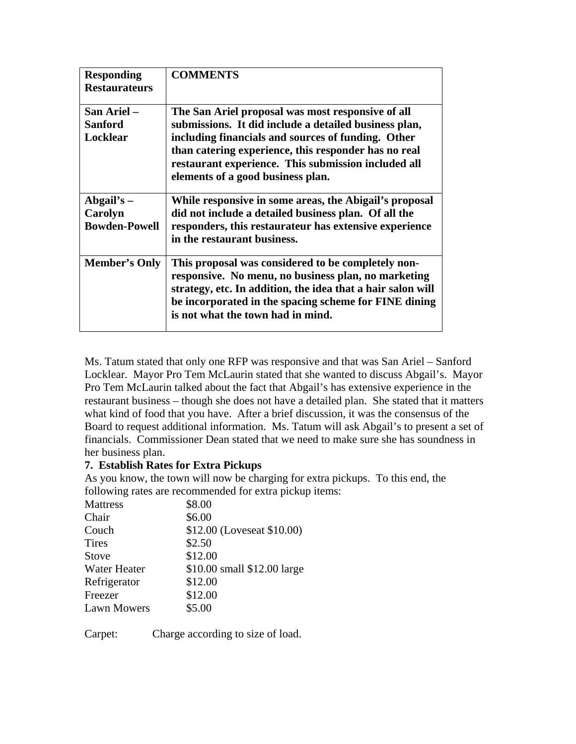| <b>Responding</b><br><b>Restaurateurs</b>       | <b>COMMENTS</b>                                                                                                                                                                                                                                                                                                      |
|-------------------------------------------------|----------------------------------------------------------------------------------------------------------------------------------------------------------------------------------------------------------------------------------------------------------------------------------------------------------------------|
| San Ariel -<br><b>Sanford</b><br>Locklear       | The San Ariel proposal was most responsive of all<br>submissions. It did include a detailed business plan,<br>including financials and sources of funding. Other<br>than catering experience, this responder has no real<br>restaurant experience. This submission included all<br>elements of a good business plan. |
| Abgail's $-$<br>Carolyn<br><b>Bowden-Powell</b> | While responsive in some areas, the Abigail's proposal<br>did not include a detailed business plan. Of all the<br>responders, this restaurateur has extensive experience<br>in the restaurant business.                                                                                                              |
| <b>Member's Only</b>                            | This proposal was considered to be completely non-<br>responsive. No menu, no business plan, no marketing<br>strategy, etc. In addition, the idea that a hair salon will<br>be incorporated in the spacing scheme for FINE dining<br>is not what the town had in mind.                                               |

Ms. Tatum stated that only one RFP was responsive and that was San Ariel – Sanford Locklear. Mayor Pro Tem McLaurin stated that she wanted to discuss Abgail's. Mayor Pro Tem McLaurin talked about the fact that Abgail's has extensive experience in the restaurant business – though she does not have a detailed plan. She stated that it matters what kind of food that you have. After a brief discussion, it was the consensus of the Board to request additional information. Ms. Tatum will ask Abgail's to present a set of financials. Commissioner Dean stated that we need to make sure she has soundness in her business plan.

#### **7. Establish Rates for Extra Pickups**

As you know, the town will now be charging for extra pickups. To this end, the following rates are recommended for extra pickup items:

| \$8.00                      |
|-----------------------------|
| \$6.00                      |
| \$12.00 (Loveseat \$10.00)  |
| \$2.50                      |
| \$12.00                     |
| \$10.00 small \$12.00 large |
| \$12.00                     |
| \$12.00                     |
| \$5.00                      |
|                             |

Carpet: Charge according to size of load.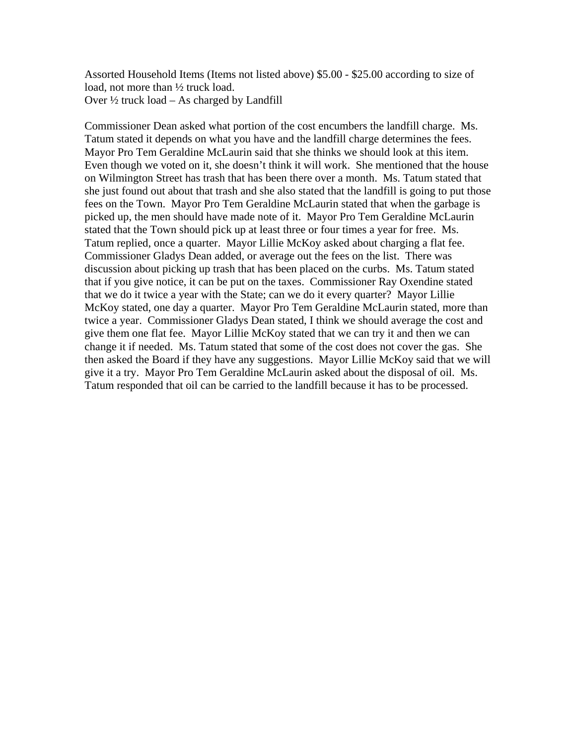Assorted Household Items (Items not listed above) \$5.00 - \$25.00 according to size of load, not more than ½ truck load. Over  $\frac{1}{2}$  truck load – As charged by Landfill

Commissioner Dean asked what portion of the cost encumbers the landfill charge. Ms. Tatum stated it depends on what you have and the landfill charge determines the fees. Mayor Pro Tem Geraldine McLaurin said that she thinks we should look at this item. Even though we voted on it, she doesn't think it will work. She mentioned that the house on Wilmington Street has trash that has been there over a month. Ms. Tatum stated that she just found out about that trash and she also stated that the landfill is going to put those fees on the Town. Mayor Pro Tem Geraldine McLaurin stated that when the garbage is picked up, the men should have made note of it. Mayor Pro Tem Geraldine McLaurin stated that the Town should pick up at least three or four times a year for free. Ms. Tatum replied, once a quarter. Mayor Lillie McKoy asked about charging a flat fee. Commissioner Gladys Dean added, or average out the fees on the list. There was discussion about picking up trash that has been placed on the curbs. Ms. Tatum stated that if you give notice, it can be put on the taxes. Commissioner Ray Oxendine stated that we do it twice a year with the State; can we do it every quarter? Mayor Lillie McKoy stated, one day a quarter. Mayor Pro Tem Geraldine McLaurin stated, more than twice a year. Commissioner Gladys Dean stated, I think we should average the cost and give them one flat fee. Mayor Lillie McKoy stated that we can try it and then we can change it if needed. Ms. Tatum stated that some of the cost does not cover the gas. She then asked the Board if they have any suggestions. Mayor Lillie McKoy said that we will give it a try. Mayor Pro Tem Geraldine McLaurin asked about the disposal of oil. Ms. Tatum responded that oil can be carried to the landfill because it has to be processed.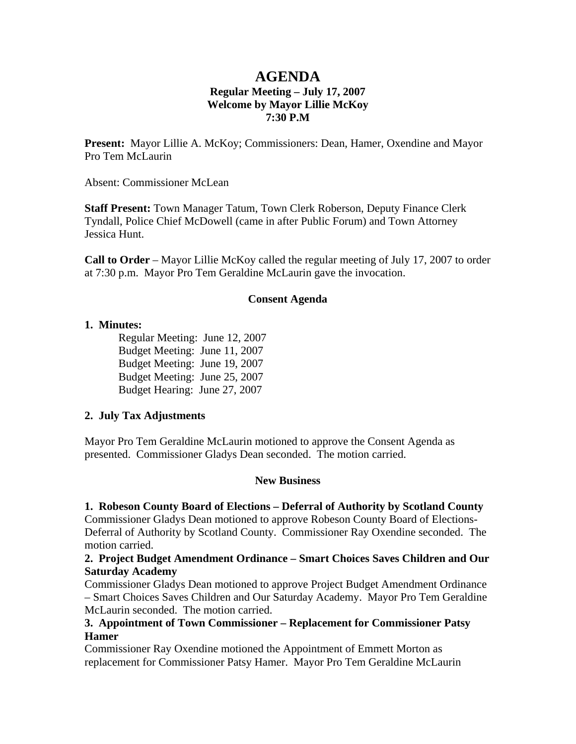## **AGENDA Regular Meeting – July 17, 2007 Welcome by Mayor Lillie McKoy 7:30 P.M**

**Present:** Mayor Lillie A. McKoy; Commissioners: Dean, Hamer, Oxendine and Mayor Pro Tem McLaurin

Absent: Commissioner McLean

**Staff Present:** Town Manager Tatum, Town Clerk Roberson, Deputy Finance Clerk Tyndall, Police Chief McDowell (came in after Public Forum) and Town Attorney Jessica Hunt.

**Call to Order** – Mayor Lillie McKoy called the regular meeting of July 17, 2007 to order at 7:30 p.m. Mayor Pro Tem Geraldine McLaurin gave the invocation.

#### **Consent Agenda**

#### **1. Minutes:**

 Regular Meeting: June 12, 2007 Budget Meeting: June 11, 2007 Budget Meeting: June 19, 2007 Budget Meeting: June 25, 2007 Budget Hearing: June 27, 2007

#### **2. July Tax Adjustments**

Mayor Pro Tem Geraldine McLaurin motioned to approve the Consent Agenda as presented. Commissioner Gladys Dean seconded. The motion carried.

#### **New Business**

#### **1. Robeson County Board of Elections – Deferral of Authority by Scotland County**

Commissioner Gladys Dean motioned to approve Robeson County Board of Elections-Deferral of Authority by Scotland County. Commissioner Ray Oxendine seconded. The motion carried.

#### **2. Project Budget Amendment Ordinance – Smart Choices Saves Children and Our Saturday Academy**

Commissioner Gladys Dean motioned to approve Project Budget Amendment Ordinance – Smart Choices Saves Children and Our Saturday Academy. Mayor Pro Tem Geraldine McLaurin seconded. The motion carried.

#### **3. Appointment of Town Commissioner – Replacement for Commissioner Patsy Hamer**

Commissioner Ray Oxendine motioned the Appointment of Emmett Morton as replacement for Commissioner Patsy Hamer. Mayor Pro Tem Geraldine McLaurin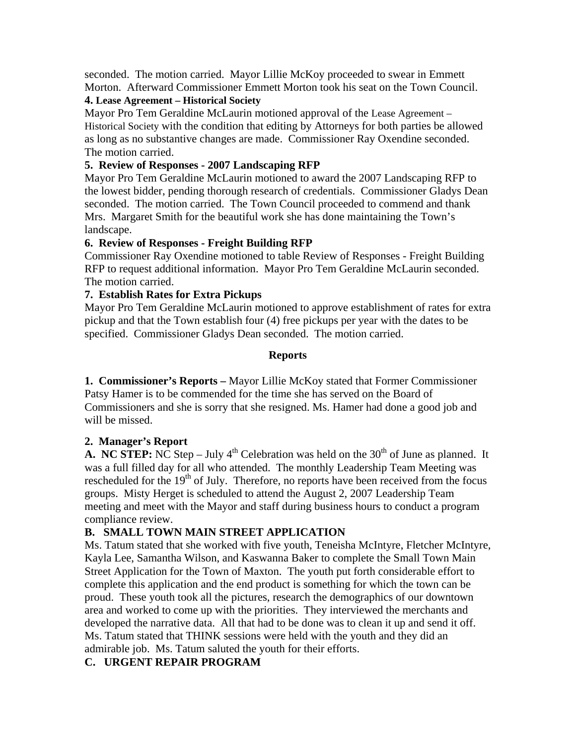seconded. The motion carried. Mayor Lillie McKoy proceeded to swear in Emmett Morton. Afterward Commissioner Emmett Morton took his seat on the Town Council.

#### **4. Lease Agreement – Historical Society**

Mayor Pro Tem Geraldine McLaurin motioned approval of the Lease Agreement – Historical Society with the condition that editing by Attorneys for both parties be allowed as long as no substantive changes are made. Commissioner Ray Oxendine seconded. The motion carried.

#### **5. Review of Responses - 2007 Landscaping RFP**

Mayor Pro Tem Geraldine McLaurin motioned to award the 2007 Landscaping RFP to the lowest bidder, pending thorough research of credentials. Commissioner Gladys Dean seconded. The motion carried. The Town Council proceeded to commend and thank Mrs. Margaret Smith for the beautiful work she has done maintaining the Town's landscape.

#### **6. Review of Responses - Freight Building RFP**

Commissioner Ray Oxendine motioned to table Review of Responses - Freight Building RFP to request additional information. Mayor Pro Tem Geraldine McLaurin seconded. The motion carried.

#### **7. Establish Rates for Extra Pickups**

Mayor Pro Tem Geraldine McLaurin motioned to approve establishment of rates for extra pickup and that the Town establish four (4) free pickups per year with the dates to be specified. Commissioner Gladys Dean seconded. The motion carried.

#### **Reports**

**1. Commissioner's Reports –** Mayor Lillie McKoy stated that Former Commissioner Patsy Hamer is to be commended for the time she has served on the Board of Commissioners and she is sorry that she resigned. Ms. Hamer had done a good job and will be missed.

## **2. Manager's Report**

**A. NC STEP:** NC Step – July  $4<sup>th</sup>$  Celebration was held on the 30<sup>th</sup> of June as planned. It was a full filled day for all who attended. The monthly Leadership Team Meeting was rescheduled for the 19<sup>th</sup> of July. Therefore, no reports have been received from the focus groups. Misty Herget is scheduled to attend the August 2, 2007 Leadership Team meeting and meet with the Mayor and staff during business hours to conduct a program compliance review.

## **B. SMALL TOWN MAIN STREET APPLICATION**

Ms. Tatum stated that she worked with five youth, Teneisha McIntyre, Fletcher McIntyre, Kayla Lee, Samantha Wilson, and Kaswanna Baker to complete the Small Town Main Street Application for the Town of Maxton. The youth put forth considerable effort to complete this application and the end product is something for which the town can be proud. These youth took all the pictures, research the demographics of our downtown area and worked to come up with the priorities. They interviewed the merchants and developed the narrative data. All that had to be done was to clean it up and send it off. Ms. Tatum stated that THINK sessions were held with the youth and they did an admirable job. Ms. Tatum saluted the youth for their efforts.

## **C. URGENT REPAIR PROGRAM**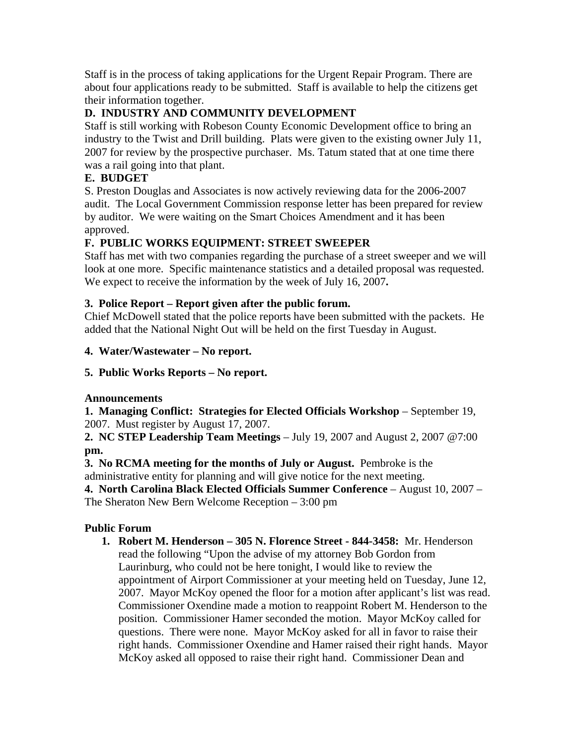Staff is in the process of taking applications for the Urgent Repair Program. There are about four applications ready to be submitted. Staff is available to help the citizens get their information together.

## **D. INDUSTRY AND COMMUNITY DEVELOPMENT**

Staff is still working with Robeson County Economic Development office to bring an industry to the Twist and Drill building. Plats were given to the existing owner July 11, 2007 for review by the prospective purchaser. Ms. Tatum stated that at one time there was a rail going into that plant.

## **E. BUDGET**

S. Preston Douglas and Associates is now actively reviewing data for the 2006-2007 audit. The Local Government Commission response letter has been prepared for review by auditor. We were waiting on the Smart Choices Amendment and it has been approved.

# **F. PUBLIC WORKS EQUIPMENT: STREET SWEEPER**

Staff has met with two companies regarding the purchase of a street sweeper and we will look at one more. Specific maintenance statistics and a detailed proposal was requested. We expect to receive the information by the week of July 16, 2007**.** 

## **3. Police Report – Report given after the public forum.**

Chief McDowell stated that the police reports have been submitted with the packets. He added that the National Night Out will be held on the first Tuesday in August.

## **4. Water/Wastewater – No report.**

## **5. Public Works Reports – No report.**

## **Announcements**

**1. Managing Conflict: Strategies for Elected Officials Workshop** – September 19, 2007. Must register by August 17, 2007.

**2. NC STEP Leadership Team Meetings** – July 19, 2007 and August 2, 2007 @7:00 **pm.** 

**3. No RCMA meeting for the months of July or August.** Pembroke is the administrative entity for planning and will give notice for the next meeting.

**4. North Carolina Black Elected Officials Summer Conference** – August 10, 2007 – The Sheraton New Bern Welcome Reception – 3:00 pm

## **Public Forum**

**1. Robert M. Henderson – 305 N. Florence Street - 844-3458:** Mr. Henderson read the following "Upon the advise of my attorney Bob Gordon from Laurinburg, who could not be here tonight, I would like to review the appointment of Airport Commissioner at your meeting held on Tuesday, June 12, 2007. Mayor McKoy opened the floor for a motion after applicant's list was read. Commissioner Oxendine made a motion to reappoint Robert M. Henderson to the position. Commissioner Hamer seconded the motion. Mayor McKoy called for questions. There were none. Mayor McKoy asked for all in favor to raise their right hands. Commissioner Oxendine and Hamer raised their right hands. Mayor McKoy asked all opposed to raise their right hand. Commissioner Dean and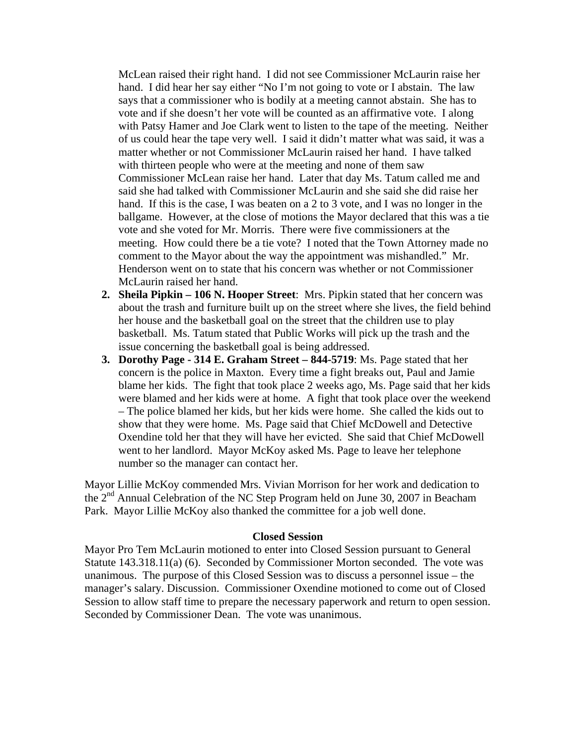McLean raised their right hand. I did not see Commissioner McLaurin raise her hand. I did hear her say either "No I'm not going to vote or I abstain. The law says that a commissioner who is bodily at a meeting cannot abstain. She has to vote and if she doesn't her vote will be counted as an affirmative vote. I along with Patsy Hamer and Joe Clark went to listen to the tape of the meeting. Neither of us could hear the tape very well. I said it didn't matter what was said, it was a matter whether or not Commissioner McLaurin raised her hand. I have talked with thirteen people who were at the meeting and none of them saw Commissioner McLean raise her hand. Later that day Ms. Tatum called me and said she had talked with Commissioner McLaurin and she said she did raise her hand. If this is the case, I was beaten on a 2 to 3 vote, and I was no longer in the ballgame. However, at the close of motions the Mayor declared that this was a tie vote and she voted for Mr. Morris. There were five commissioners at the meeting. How could there be a tie vote? I noted that the Town Attorney made no comment to the Mayor about the way the appointment was mishandled." Mr. Henderson went on to state that his concern was whether or not Commissioner McLaurin raised her hand.

- **2. Sheila Pipkin 106 N. Hooper Street**: Mrs. Pipkin stated that her concern was about the trash and furniture built up on the street where she lives, the field behind her house and the basketball goal on the street that the children use to play basketball. Ms. Tatum stated that Public Works will pick up the trash and the issue concerning the basketball goal is being addressed.
- **3. Dorothy Page 314 E. Graham Street 844-5719**: Ms. Page stated that her concern is the police in Maxton. Every time a fight breaks out, Paul and Jamie blame her kids. The fight that took place 2 weeks ago, Ms. Page said that her kids were blamed and her kids were at home. A fight that took place over the weekend – The police blamed her kids, but her kids were home. She called the kids out to show that they were home. Ms. Page said that Chief McDowell and Detective Oxendine told her that they will have her evicted. She said that Chief McDowell went to her landlord. Mayor McKoy asked Ms. Page to leave her telephone number so the manager can contact her.

Mayor Lillie McKoy commended Mrs. Vivian Morrison for her work and dedication to the 2nd Annual Celebration of the NC Step Program held on June 30, 2007 in Beacham Park. Mayor Lillie McKoy also thanked the committee for a job well done.

#### **Closed Session**

Mayor Pro Tem McLaurin motioned to enter into Closed Session pursuant to General Statute 143.318.11(a) (6). Seconded by Commissioner Morton seconded. The vote was unanimous. The purpose of this Closed Session was to discuss a personnel issue – the manager's salary. Discussion. Commissioner Oxendine motioned to come out of Closed Session to allow staff time to prepare the necessary paperwork and return to open session. Seconded by Commissioner Dean. The vote was unanimous.